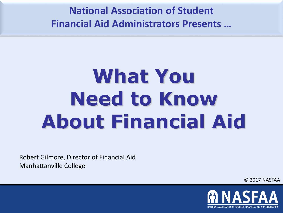**National Association of Student Financial Aid Administrators Presents …**

# **What You Need to Know About Financial Aid**

Robert Gilmore, Director of Financial Aid Manhattanville College

© 2017 NASFAA

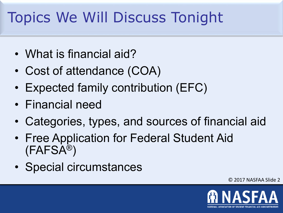## Topics We Will Discuss Tonight

- What is financial aid?
- Cost of attendance (COA)
- Expected family contribution (EFC)
- Financial need
- Categories, types, and sources of financial aid
- Free Application for Federal Student Aid (FAFSA®)
- Special circumstances

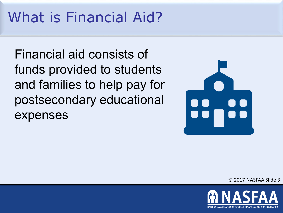### What is Financial Aid?

Financial aid consists of funds provided to students and families to help pay for postsecondary educational expenses



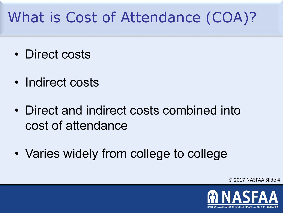## What is Cost of Attendance (COA)?

- Direct costs
- Indirect costs
- Direct and indirect costs combined into cost of attendance
- Varies widely from college to college

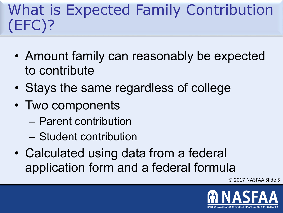#### What is Expected Family Contribution (EFC)?

- Amount family can reasonably be expected to contribute
- Stays the same regardless of college
- Two components
	- Parent contribution
	- Student contribution
- Calculated using data from a federal application form and a federal formula

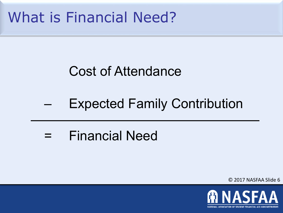#### What is Financial Need?

#### Cost of Attendance

#### **Expected Family Contribution**

= Financial Need

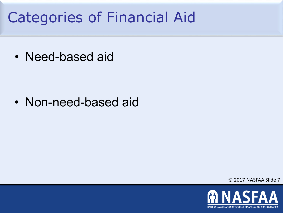#### Categories of Financial Aid

• Need-based aid

• Non-need-based aid

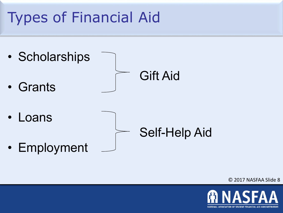## Types of Financial Aid



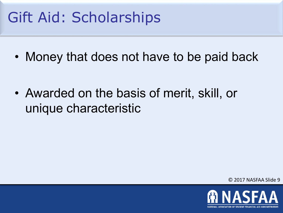#### Gift Aid: Scholarships

• Money that does not have to be paid back

• Awarded on the basis of merit, skill, or unique characteristic

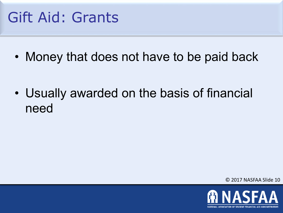#### Gift Aid: Grants

• Money that does not have to be paid back

• Usually awarded on the basis of financial need

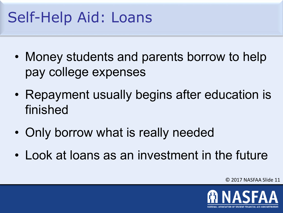#### Self-Help Aid: Loans

- Money students and parents borrow to help pay college expenses
- Repayment usually begins after education is finished
- Only borrow what is really needed
- Look at loans as an investment in the future

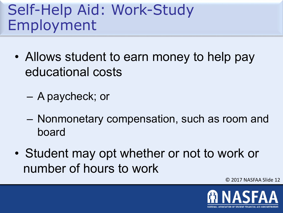#### Self-Help Aid: Work-Study Employment

- Allows student to earn money to help pay educational costs
	- A paycheck; or
	- Nonmonetary compensation, such as room and board
- Student may opt whether or not to work or number of hours to work

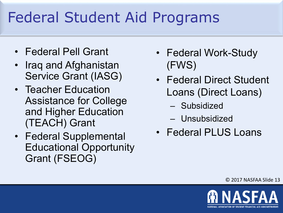## Federal Student Aid Programs

- Federal Pell Grant
- Iraq and Afghanistan Service Grant (IASG)
- Teacher Education Assistance for College and Higher Education (TEACH) Grant
- Federal Supplemental Educational Opportunity Grant (FSEOG)
- Federal Work-Study (FWS)
- Federal Direct Student Loans (Direct Loans)
	- Subsidized
	- Unsubsidized
- Federal PLUS Loans

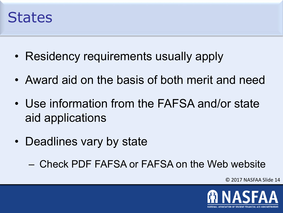#### **States**

- Residency requirements usually apply
- Award aid on the basis of both merit and need
- Use information from the FAFSA and/or state aid applications
- Deadlines vary by state
	- Check PDF FAFSA or FAFSA on the Web website

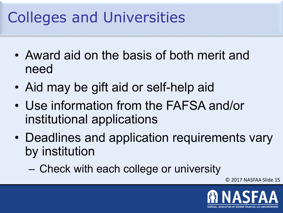## Colleges and Universities

- Award aid on the basis of both merit and need
- Aid may be gift aid or self-help aid
- Use information from the FAFSA and/or institutional applications
- Deadlines and application requirements vary by institution
	- Check with each college or university

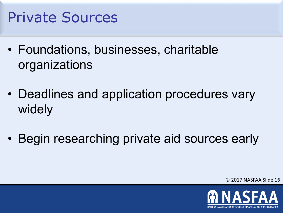#### Private Sources

- Foundations, businesses, charitable organizations
- Deadlines and application procedures vary widely
- Begin researching private aid sources early

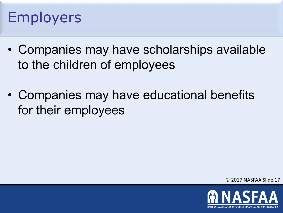#### Employers

- Companies may have scholarships available to the children of employees
- Companies may have educational benefits for their employees

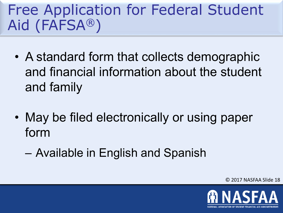#### Free Application for Federal Student Aid (FAFSA®)

- A standard form that collects demographic and financial information about the student and family
- May be filed electronically or using paper form
	- Available in English and Spanish

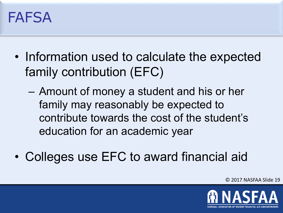#### FAFSA

- Information used to calculate the expected family contribution (EFC)
	- Amount of money a student and his or her family may reasonably be expected to contribute towards the cost of the student's education for an academic year
- Colleges use EFC to award financial aid

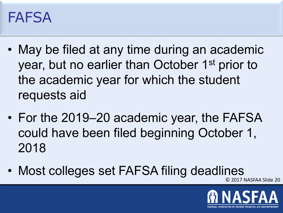#### FAFSA

- May be filed at any time during an academic year, but no earlier than October 1<sup>st</sup> prior to the academic year for which the student requests aid
- For the 2019–20 academic year, the FAFSA could have been filed beginning October 1, 2018
- Most colleges set FAFSA filing deadlines

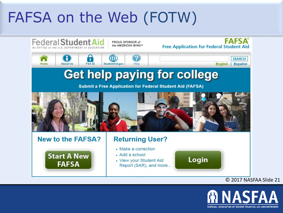#### FAFSA on the Web (FOTW)



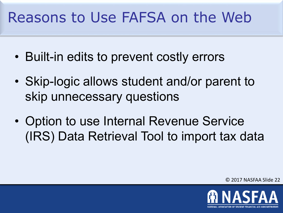#### Reasons to Use FAFSA on the Web

- Built-in edits to prevent costly errors
- Skip-logic allows student and/or parent to skip unnecessary questions
- Option to use Internal Revenue Service (IRS) Data Retrieval Tool to import tax data

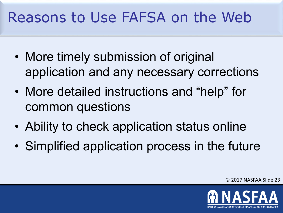#### Reasons to Use FAFSA on the Web

- More timely submission of original application and any necessary corrections
- More detailed instructions and "help" for common questions
- Ability to check application status online
- Simplified application process in the future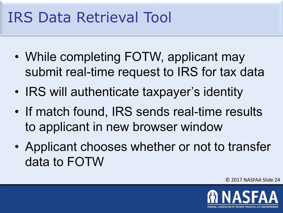#### IRS Data Retrieval Tool

- While completing FOTW, applicant may submit real-time request to IRS for tax data
- IRS will authenticate taxpayer's identity
- If match found, IRS sends real-time results to applicant in new browser window
- Applicant chooses whether or not to transfer data to FOTW

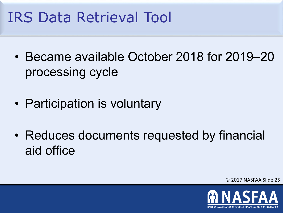#### IRS Data Retrieval Tool

- Became available October 2018 for 2019–20 processing cycle
- Participation is voluntary
- Reduces documents requested by financial aid office

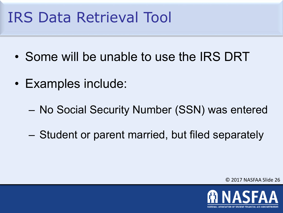#### IRS Data Retrieval Tool

- Some will be unable to use the IRS DRT
- Examples include:
	- No Social Security Number (SSN) was entered
	- Student or parent married, but filed separately

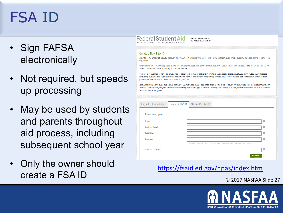#### FSA ID

- Sign FAFSA electronically
- Not required, but speeds up processing
- May be used by students and parents throughout aid process, including subsequent school year
- Only the owner should create a FSA ID **<https://fsaid.ed.gov/npas/index.htm>**



PROUD SPONSOR of the AMERICAN MIND®

#### Create a New FSA ID

New to FSA? Create an FSA ID account below. An FSA ID gives you access to Federal Student Aid's online systems and can serve as your legal signature.

Only create an FSA ID using your own personal information and for your own exclusive use. You are not authorized to create an FSA ID on behalf of someone else, including a family member

You are not allowed to have an employee or agent of a commercial entity, or other third party, create an FSA ID for you for any purposes including but not limited to: payment reductions, debt consolidation or applying for aid. Misrepresentation of your identity to the federal government could result in criminal or civil penalties.

Important: When you are done click the CANCEL button to clear your data, even if you did not finish creating your FSA ID. Just closing your browser window or going to another website may not be enough to prevent other people using this computer from seeing your information until the session expires.

| Log in to StudentAid.gov | Create an FSA ID | Manage My FSA ID                                                                                     |  |
|--------------------------|------------------|------------------------------------------------------------------------------------------------------|--|
| Please enter your:       |                  |                                                                                                      |  |
| E-mail                   |                  | $\boldsymbol{\Theta}$                                                                                |  |
| Confirm E-mail           |                  | $\boldsymbol{\Theta}$                                                                                |  |
| Username                 |                  | $\boldsymbol{\Theta}$                                                                                |  |
| Password                 |                  | $\bullet$                                                                                            |  |
|                          |                  | V Numbers V Uppercase Letters V Lowercase Letters V Special Characters V 8-30 Characters I Show Text |  |
| Confirm Password         |                  | $\bullet$                                                                                            |  |
|                          |                  | <b>CONTINUE</b>                                                                                      |  |

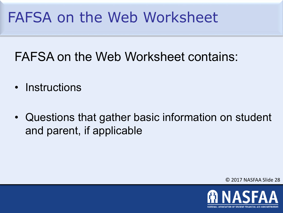#### FAFSA on the Web Worksheet

#### FAFSA on the Web Worksheet contains:

- Instructions
- Questions that gather basic information on student and parent, if applicable

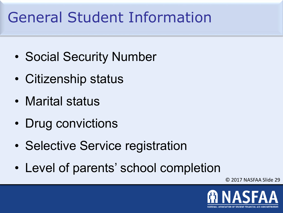## General Student Information

- Social Security Number
- Citizenship status
- Marital status
- Drug convictions
- Selective Service registration
- Level of parents' school completion

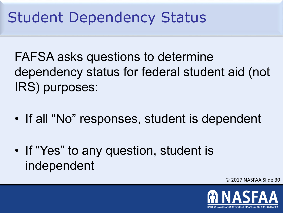#### Student Dependency Status

FAFSA asks questions to determine dependency status for federal student aid (not IRS) purposes:

- If all "No" responses, student is dependent
- If "Yes" to any question, student is independent

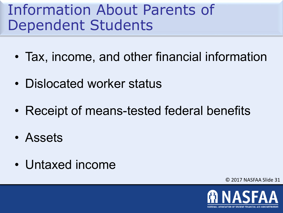#### Information About Parents of Dependent Students

- Tax, income, and other financial information
- Dislocated worker status
- Receipt of means-tested federal benefits
- Assets
- Untaxed income

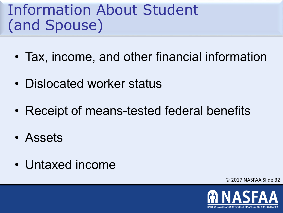#### Information About Student (and Spouse)

- Tax, income, and other financial information
- Dislocated worker status
- Receipt of means-tested federal benefits
- Assets
- Untaxed income

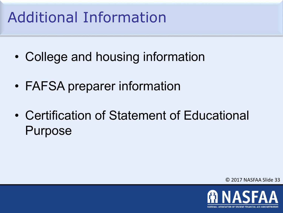## Additional Information

- College and housing information
- FAFSA preparer information
- Certification of Statement of Educational Purpose

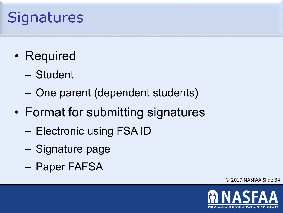#### **Signatures**

- Required
	- Student
	- One parent (dependent students)
- Format for submitting signatures
	- Electronic using FSA ID
	- Signature page
	- Paper FAFSA

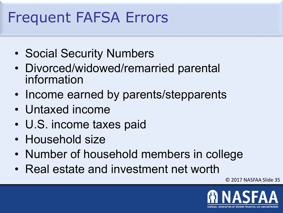#### Frequent FAFSA Errors

- Social Security Numbers
- Divorced/widowed/remarried parental information
- Income earned by parents/stepparents
- Untaxed income
- U.S. income taxes paid
- Household size
- Number of household members in college
- Real estate and investment net worth

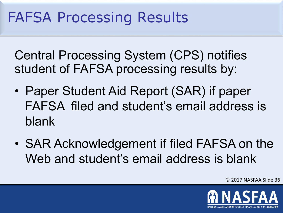#### FAFSA Processing Results

Central Processing System (CPS) notifies student of FAFSA processing results by:

- Paper Student Aid Report (SAR) if paper FAFSA filed and student's email address is blank
- SAR Acknowledgement if filed FAFSA on the Web and student's email address is blank

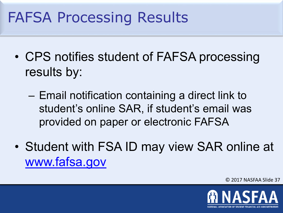#### FAFSA Processing Results

- CPS notifies student of FAFSA processing results by:
	- Email notification containing a direct link to student's online SAR, if student's email was provided on paper or electronic FAFSA
- Student with FSA ID may view SAR online at [www.fafsa.gov](http://www.fafsa.gov/)

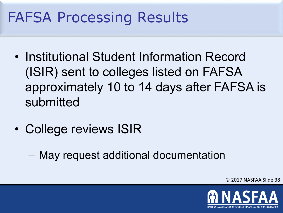#### FAFSA Processing Results

- Institutional Student Information Record (ISIR) sent to colleges listed on FAFSA approximately 10 to 14 days after FAFSA is submitted
- College reviews ISIR
	- May request additional documentation

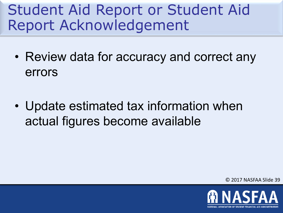#### Student Aid Report or Student Aid Report Acknowledgement

- Review data for accuracy and correct any errors
- Update estimated tax information when actual figures become available

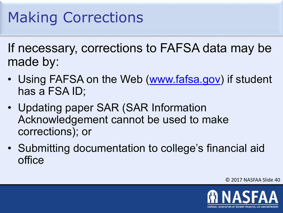#### Making Corrections

If necessary, corrections to FAFSA data may be made by:

- Using FAFSA on the Web [\(www.fafsa.gov\)](http://www.fafsa.gov/) if student has a FSA ID;
- Updating paper SAR (SAR Information Acknowledgement cannot be used to make corrections); or
- Submitting documentation to college's financial aid office

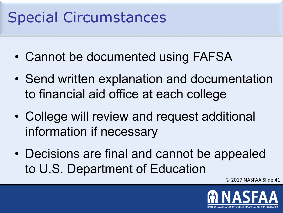#### Special Circumstances

- Cannot be documented using FAFSA
- Send written explanation and documentation to financial aid office at each college
- College will review and request additional information if necessary
- Decisions are final and cannot be appealed to U.S. Department of Education

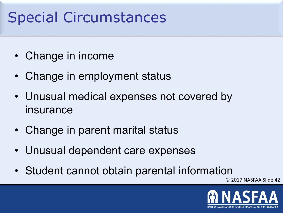#### Special Circumstances

- Change in income
- Change in employment status
- Unusual medical expenses not covered by insurance
- Change in parent marital status
- Unusual dependent care expenses
- Student cannot obtain parental information